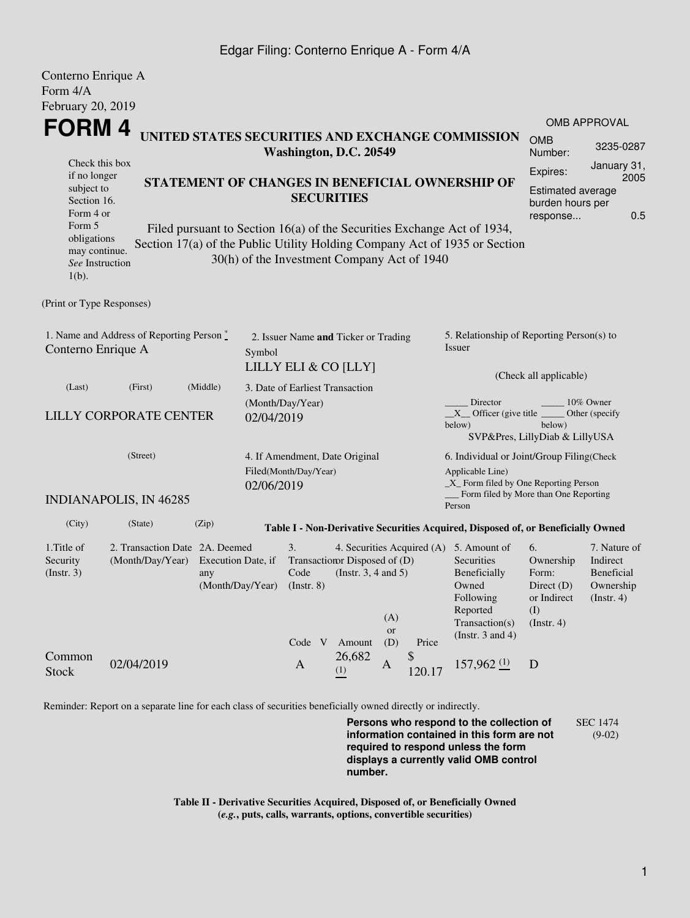## Edgar Filing: Conterno Enrique A - Form 4/A

| Conterno Enrique A                                                                   |                                           |                                                   |                                |                                                 |                          |                                                                                   |                                        |                                                                                  |                                              |                          |  |
|--------------------------------------------------------------------------------------|-------------------------------------------|---------------------------------------------------|--------------------------------|-------------------------------------------------|--------------------------|-----------------------------------------------------------------------------------|----------------------------------------|----------------------------------------------------------------------------------|----------------------------------------------|--------------------------|--|
| Form 4/A                                                                             |                                           |                                                   |                                |                                                 |                          |                                                                                   |                                        |                                                                                  |                                              |                          |  |
| February 20, 2019                                                                    |                                           |                                                   |                                |                                                 |                          |                                                                                   |                                        |                                                                                  |                                              |                          |  |
|                                                                                      |                                           |                                                   |                                |                                                 |                          |                                                                                   |                                        |                                                                                  | <b>OMB APPROVAL</b>                          |                          |  |
| FORM 4<br>UNITED STATES SECURITIES AND EXCHANGE COMMISSION<br>Washington, D.C. 20549 |                                           |                                                   |                                |                                                 |                          |                                                                                   |                                        |                                                                                  | <b>OMB</b><br>Number:                        | 3235-0287<br>January 31, |  |
| Check this box                                                                       |                                           |                                                   |                                |                                                 |                          |                                                                                   |                                        |                                                                                  | Expires:                                     |                          |  |
| if no longer                                                                         |                                           |                                                   |                                | STATEMENT OF CHANGES IN BENEFICIAL OWNERSHIP OF |                          |                                                                                   |                                        |                                                                                  | 2005                                         |                          |  |
| subject to<br>Section 16.                                                            |                                           |                                                   |                                | <b>SECURITIES</b>                               |                          |                                                                                   |                                        |                                                                                  | <b>Estimated average</b><br>burden hours per |                          |  |
| Form 4 or                                                                            |                                           |                                                   |                                |                                                 |                          |                                                                                   |                                        |                                                                                  | 0.5<br>response                              |                          |  |
| Form 5                                                                               |                                           |                                                   |                                |                                                 |                          |                                                                                   |                                        | Filed pursuant to Section 16(a) of the Securities Exchange Act of 1934,          |                                              |                          |  |
| obligations                                                                          |                                           |                                                   |                                |                                                 |                          |                                                                                   |                                        | Section 17(a) of the Public Utility Holding Company Act of 1935 or Section       |                                              |                          |  |
| may continue.<br>See Instruction                                                     |                                           |                                                   |                                | 30(h) of the Investment Company Act of 1940     |                          |                                                                                   |                                        |                                                                                  |                                              |                          |  |
| $1(b)$ .                                                                             |                                           |                                                   |                                |                                                 |                          |                                                                                   |                                        |                                                                                  |                                              |                          |  |
|                                                                                      |                                           |                                                   |                                |                                                 |                          |                                                                                   |                                        |                                                                                  |                                              |                          |  |
| (Print or Type Responses)                                                            |                                           |                                                   |                                |                                                 |                          |                                                                                   |                                        |                                                                                  |                                              |                          |  |
|                                                                                      |                                           |                                                   |                                |                                                 |                          |                                                                                   |                                        |                                                                                  |                                              |                          |  |
|                                                                                      | 1. Name and Address of Reporting Person * |                                                   |                                |                                                 |                          | 5. Relationship of Reporting Person(s) to<br>2. Issuer Name and Ticker or Trading |                                        |                                                                                  |                                              |                          |  |
| Conterno Enrique A<br>Symbol                                                         |                                           |                                                   |                                |                                                 |                          |                                                                                   |                                        | <i>Issuer</i>                                                                    |                                              |                          |  |
|                                                                                      |                                           |                                                   | LILLY ELI & CO [LLY]           |                                                 |                          |                                                                                   | (Check all applicable)                 |                                                                                  |                                              |                          |  |
| (Last)                                                                               | (First)                                   | (Middle)                                          |                                | 3. Date of Earliest Transaction                 |                          |                                                                                   |                                        |                                                                                  |                                              |                          |  |
| <b>LILLY CORPORATE CENTER</b><br>02/04/2019                                          |                                           |                                                   |                                | (Month/Day/Year)                                |                          |                                                                                   | Director                               |                                                                                  | 10% Owner                                    |                          |  |
|                                                                                      |                                           |                                                   |                                |                                                 |                          |                                                                                   |                                        | $X$ Officer (give title $\overline{\phantom{a}}$                                 | Other (specify<br>below)                     |                          |  |
|                                                                                      |                                           |                                                   |                                |                                                 |                          |                                                                                   |                                        | below)                                                                           | SVP&Pres, LillyDiab & LillyUSA               |                          |  |
|                                                                                      | (Street)                                  |                                                   |                                |                                                 |                          |                                                                                   |                                        |                                                                                  |                                              |                          |  |
| Filed(Month/Day/Year)<br>02/06/2019                                                  |                                           |                                                   | 4. If Amendment, Date Original |                                                 |                          | 6. Individual or Joint/Group Filing(Check<br>Applicable Line)                     |                                        |                                                                                  |                                              |                          |  |
|                                                                                      |                                           |                                                   |                                |                                                 |                          |                                                                                   | _X_ Form filed by One Reporting Person |                                                                                  |                                              |                          |  |
|                                                                                      | <b>INDIANAPOLIS, IN 46285</b>             |                                                   |                                |                                                 |                          |                                                                                   |                                        | Form filed by More than One Reporting                                            |                                              |                          |  |
|                                                                                      |                                           |                                                   |                                |                                                 |                          |                                                                                   |                                        | Person                                                                           |                                              |                          |  |
| (City)                                                                               | (State)                                   | (Zip)                                             |                                |                                                 |                          |                                                                                   |                                        | Table I - Non-Derivative Securities Acquired, Disposed of, or Beneficially Owned |                                              |                          |  |
| 1. Title of                                                                          | 2. Transaction Date 2A. Deemed            |                                                   |                                | 3.                                              |                          |                                                                                   |                                        | 4. Securities Acquired (A) 5. Amount of                                          | 6.                                           | 7. Nature of             |  |
| Security                                                                             | (Month/Day/Year)                          | Transaction Disposed of (D)<br>Execution Date, if |                                |                                                 |                          | Securities                                                                        | Ownership                              | Indirect                                                                         |                                              |                          |  |
| (Insert. 3)                                                                          |                                           | any                                               |                                | Code                                            | (Instr. $3, 4$ and $5$ ) |                                                                                   |                                        | Beneficially                                                                     | Form:                                        | Beneficial               |  |
|                                                                                      |                                           | (Month/Day/Year)                                  |                                | $($ Instr. $8)$                                 |                          |                                                                                   |                                        | Owned<br>Following                                                               | Direct $(D)$<br>or Indirect                  | Ownership<br>(Insert. 4) |  |
|                                                                                      |                                           |                                                   |                                |                                                 |                          |                                                                                   |                                        | Reported                                                                         | (I)                                          |                          |  |
|                                                                                      |                                           |                                                   |                                |                                                 |                          | (A)                                                                               |                                        | Transaction(s)                                                                   | (Insert. 4)                                  |                          |  |
|                                                                                      |                                           |                                                   |                                | Code V                                          | Amount                   | or<br>(D)                                                                         | Price                                  | (Instr. $3$ and $4$ )                                                            |                                              |                          |  |
| Common                                                                               |                                           |                                                   |                                |                                                 | 26,682                   |                                                                                   | \$                                     |                                                                                  |                                              |                          |  |
| <b>Stock</b>                                                                         | 02/04/2019                                |                                                   |                                | $\mathbf{A}$                                    | (1)                      | $\mathbf{A}$                                                                      | 120.17                                 | $157,962$ (1)                                                                    | D                                            |                          |  |

Reminder: Report on a separate line for each class of securities beneficially owned directly or indirectly.

**Persons who respond to the collection of information contained in this form are not required to respond unless the form displays a currently valid OMB control number.** SEC 1474 (9-02)

**Table II - Derivative Securities Acquired, Disposed of, or Beneficially Owned (***e.g.***, puts, calls, warrants, options, convertible securities)**